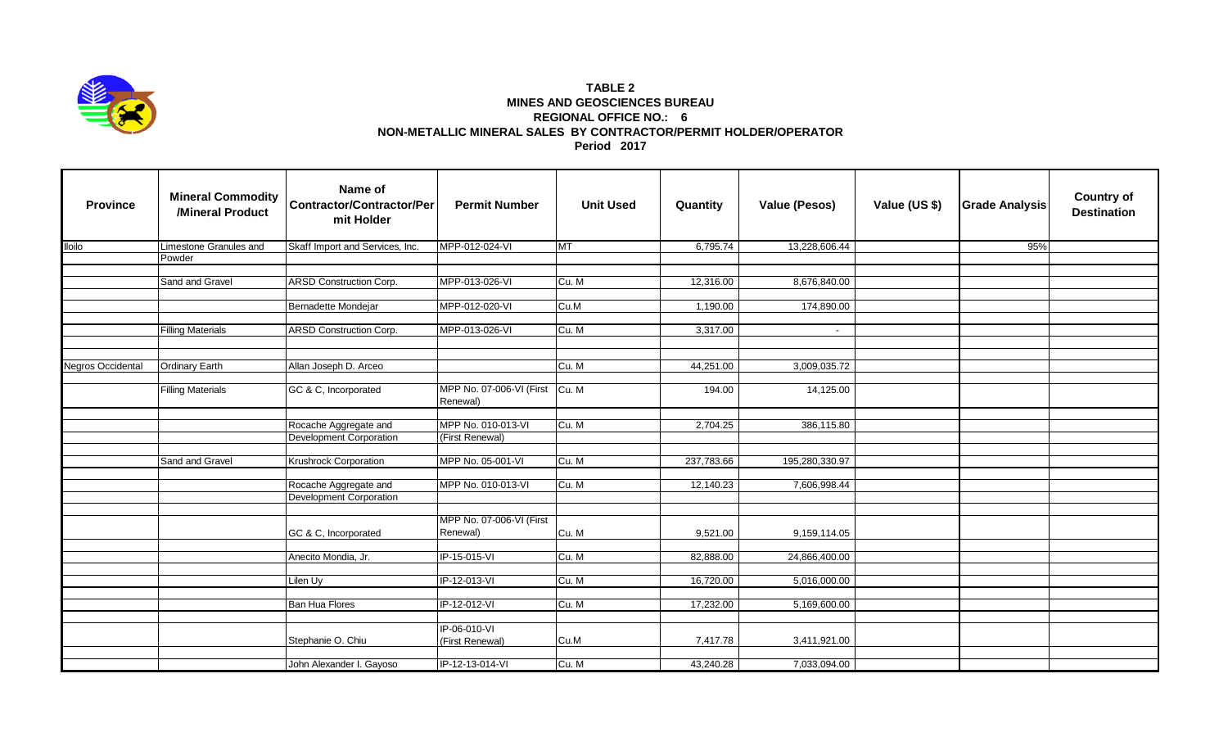

## **TABLE 2 MINES AND GEOSCIENCES BUREAU REGIONAL OFFICE NO.: 6 NON-METALLIC MINERAL SALES BY CONTRACTOR/PERMIT HOLDER/OPERATOR Period 2017**

| <b>Province</b>   | <b>Mineral Commodity</b><br>/Mineral Product | Name of<br><b>Contractor/Contractor/Per</b><br>mit Holder | <b>Permit Number</b>                 | <b>Unit Used</b> | Quantity   | <b>Value (Pesos)</b> | Value (US \$) | <b>Grade Analysis</b> | <b>Country of</b><br><b>Destination</b> |
|-------------------|----------------------------------------------|-----------------------------------------------------------|--------------------------------------|------------------|------------|----------------------|---------------|-----------------------|-----------------------------------------|
| <b>Iloilo</b>     | Limestone Granules and                       | Skaff Import and Services, Inc.                           | MPP-012-024-VI                       | <b>MT</b>        | 6,795.74   | 13,228,606.44        |               | 95%                   |                                         |
|                   | Powder                                       |                                                           |                                      |                  |            |                      |               |                       |                                         |
|                   |                                              |                                                           |                                      |                  |            |                      |               |                       |                                         |
|                   | Sand and Gravel                              | <b>ARSD Construction Corp.</b>                            | MPP-013-026-VI                       | Cu. M            | 12,316.00  | 8,676,840.00         |               |                       |                                         |
|                   |                                              | Bernadette Mondejar                                       | MPP-012-020-VI                       | Cu.M             | 1,190.00   | 174,890.00           |               |                       |                                         |
|                   |                                              |                                                           |                                      |                  |            |                      |               |                       |                                         |
|                   | <b>Filling Materials</b>                     | <b>ARSD Construction Corp.</b>                            | MPP-013-026-VI                       | Cu. M            | 3,317.00   | $\blacksquare$       |               |                       |                                         |
|                   |                                              |                                                           |                                      |                  |            |                      |               |                       |                                         |
|                   |                                              |                                                           |                                      |                  |            |                      |               |                       |                                         |
| Negros Occidental | <b>Ordinary Earth</b>                        | Allan Joseph D. Arceo                                     |                                      | Cu. M            | 44,251.00  | 3,009,035.72         |               |                       |                                         |
|                   |                                              |                                                           |                                      |                  |            |                      |               |                       |                                         |
|                   | <b>Filling Materials</b>                     | GC & C, Incorporated                                      | MPP No. 07-006-VI (First<br>Renewal) | Cu. M            | 194.00     | 14,125.00            |               |                       |                                         |
|                   |                                              |                                                           |                                      |                  |            |                      |               |                       |                                         |
|                   |                                              | Rocache Aggregate and                                     | MPP No. 010-013-VI                   | Cu. M            | 2,704.25   | 386,115.80           |               |                       |                                         |
|                   |                                              | <b>Development Corporation</b>                            | (First Renewal)                      |                  |            |                      |               |                       |                                         |
|                   | Sand and Gravel                              | <b>Krushrock Corporation</b>                              | MPP No. 05-001-VI                    | Cu. M            | 237,783.66 | 195,280,330.97       |               |                       |                                         |
|                   |                                              |                                                           |                                      |                  |            |                      |               |                       |                                         |
|                   |                                              | Rocache Aggregate and                                     | MPP No. 010-013-VI                   | Cu. M            | 12,140.23  | 7,606,998.44         |               |                       |                                         |
|                   |                                              | <b>Development Corporation</b>                            |                                      |                  |            |                      |               |                       |                                         |
|                   |                                              |                                                           |                                      |                  |            |                      |               |                       |                                         |
|                   |                                              | GC & C, Incorporated                                      | MPP No. 07-006-VI (First<br>Renewal) | Cu. M            | 9,521.00   | 9,159,114.05         |               |                       |                                         |
|                   |                                              |                                                           |                                      |                  |            |                      |               |                       |                                         |
|                   |                                              | Anecito Mondia, Jr.                                       | IP-15-015-VI                         | Cu. M            | 82,888.00  | 24,866,400.00        |               |                       |                                         |
|                   |                                              |                                                           |                                      |                  |            |                      |               |                       |                                         |
|                   |                                              | Lilen Uy                                                  | IP-12-013-VI                         | Cu. M            | 16,720.00  | 5,016,000.00         |               |                       |                                         |
|                   |                                              | <b>Ban Hua Flores</b>                                     | IP-12-012-VI                         | Cu. M            | 17,232.00  | 5,169,600.00         |               |                       |                                         |
|                   |                                              |                                                           |                                      |                  |            |                      |               |                       |                                         |
|                   |                                              |                                                           | IP-06-010-VI                         |                  |            |                      |               |                       |                                         |
|                   |                                              | Stephanie O. Chiu                                         | (First Renewal)                      | Cu.M             | 7,417.78   | 3,411,921.00         |               |                       |                                         |
|                   |                                              | John Alexander I. Gayoso                                  | IP-12-13-014-VI                      | Cu. M            | 43,240.28  | 7,033,094.00         |               |                       |                                         |
|                   |                                              |                                                           |                                      |                  |            |                      |               |                       |                                         |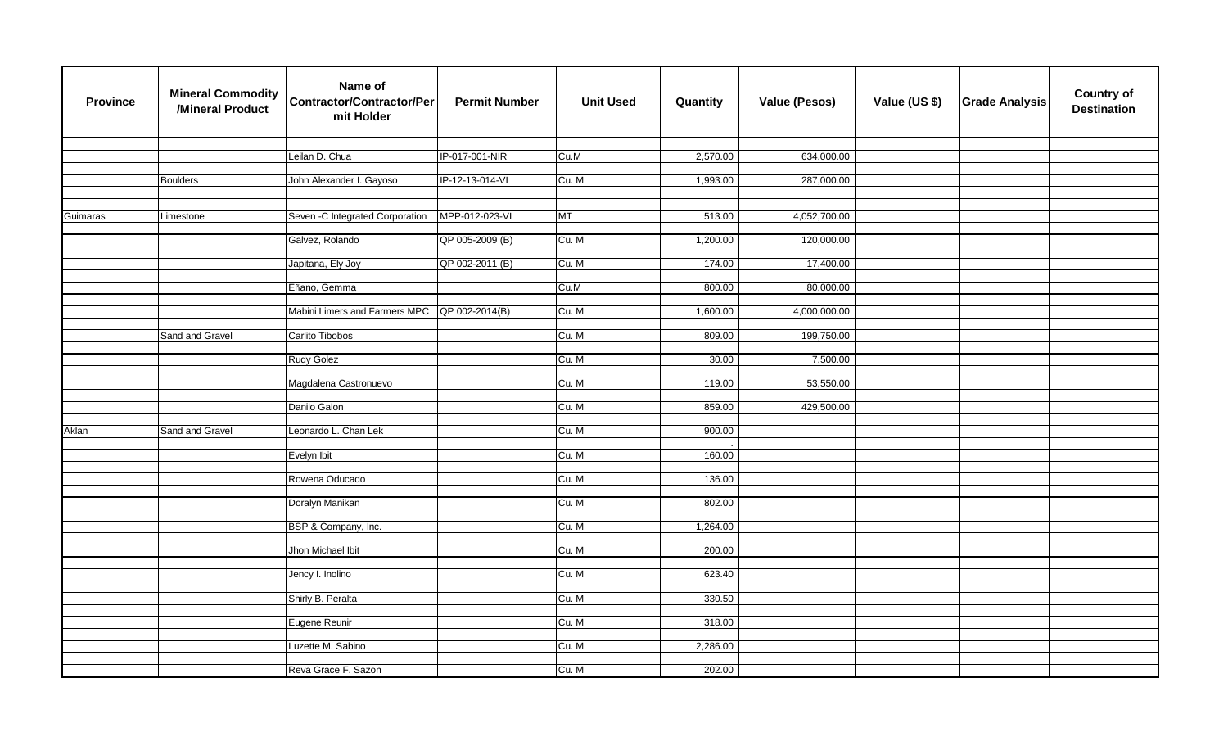| <b>Province</b> | <b>Mineral Commodity</b><br>/Mineral Product | Name of<br><b>Contractor/Contractor/Per</b><br>mit Holder | <b>Permit Number</b> | <b>Unit Used</b> | Quantity | <b>Value (Pesos)</b> | Value (US \$) | <b>Grade Analysis</b> | <b>Country of</b><br><b>Destination</b> |
|-----------------|----------------------------------------------|-----------------------------------------------------------|----------------------|------------------|----------|----------------------|---------------|-----------------------|-----------------------------------------|
|                 |                                              |                                                           |                      |                  |          |                      |               |                       |                                         |
|                 |                                              | Leilan D. Chua                                            | IP-017-001-NIR       | Cu.M             | 2,570.00 | 634,000.00           |               |                       |                                         |
|                 |                                              |                                                           |                      |                  |          |                      |               |                       |                                         |
|                 | <b>Boulders</b>                              | John Alexander I. Gayoso                                  | IP-12-13-014-VI      | Cu. M            | 1,993.00 | 287,000.00           |               |                       |                                         |
|                 |                                              |                                                           |                      |                  |          |                      |               |                       |                                         |
| Guimaras        | Limestone                                    | Seven - C Integrated Corporation                          | MPP-012-023-VI       | <b>MT</b>        | 513.00   | 4,052,700.00         |               |                       |                                         |
|                 |                                              |                                                           |                      |                  |          |                      |               |                       |                                         |
|                 |                                              | Galvez, Rolando                                           | QP 005-2009 (B)      | Cu. M            | 1,200.00 | 120,000.00           |               |                       |                                         |
|                 |                                              |                                                           |                      |                  |          |                      |               |                       |                                         |
|                 |                                              | Japitana, Ely Joy                                         | QP 002-2011 (B)      | Cu. M            | 174.00   | 17,400.00            |               |                       |                                         |
|                 |                                              |                                                           |                      |                  |          |                      |               |                       |                                         |
|                 |                                              | Eñano, Gemma                                              |                      | Cu.M             | 800.00   | 80,000.00            |               |                       |                                         |
|                 |                                              |                                                           |                      |                  |          |                      |               |                       |                                         |
|                 |                                              | Mabini Limers and Farmers MPC QP 002-2014(B)              |                      | Cu. M            | 1,600.00 | 4,000,000.00         |               |                       |                                         |
|                 | Sand and Gravel                              | Carlito Tibobos                                           |                      | Cu. M            | 809.00   | 199,750.00           |               |                       |                                         |
|                 |                                              |                                                           |                      |                  |          |                      |               |                       |                                         |
|                 |                                              | <b>Rudy Golez</b>                                         |                      | Cu. M            | 30.00    | 7,500.00             |               |                       |                                         |
|                 |                                              |                                                           |                      |                  |          |                      |               |                       |                                         |
|                 |                                              | Magdalena Castronuevo                                     |                      | Cu. M            | 119.00   | 53,550.00            |               |                       |                                         |
|                 |                                              |                                                           |                      |                  |          |                      |               |                       |                                         |
|                 |                                              | Danilo Galon                                              |                      | Cu. M            | 859.00   | 429,500.00           |               |                       |                                         |
|                 |                                              |                                                           |                      |                  |          |                      |               |                       |                                         |
| Aklan           | Sand and Gravel                              | Leonardo L. Chan Lek                                      |                      | Cu. M            | 900.00   |                      |               |                       |                                         |
|                 |                                              | Evelyn Ibit                                               |                      | Cu. M            | 160.00   |                      |               |                       |                                         |
|                 |                                              |                                                           |                      |                  |          |                      |               |                       |                                         |
|                 |                                              | Rowena Oducado                                            |                      | Cu. M            | 136.00   |                      |               |                       |                                         |
|                 |                                              |                                                           |                      |                  |          |                      |               |                       |                                         |
|                 |                                              | Doralyn Manikan                                           |                      | Cu. M            | 802.00   |                      |               |                       |                                         |
|                 |                                              |                                                           |                      |                  |          |                      |               |                       |                                         |
|                 |                                              | BSP & Company, Inc.                                       |                      | Cu. M            | 1,264.00 |                      |               |                       |                                         |
|                 |                                              |                                                           |                      |                  |          |                      |               |                       |                                         |
|                 |                                              | Jhon Michael Ibit                                         |                      | Cu. M            | 200.00   |                      |               |                       |                                         |
|                 |                                              |                                                           |                      |                  |          |                      |               |                       |                                         |
|                 |                                              | Jency I. Inolino                                          |                      | Cu. M            | 623.40   |                      |               |                       |                                         |
|                 |                                              | Shirly B. Peralta                                         |                      | Cu. M            | 330.50   |                      |               |                       |                                         |
|                 |                                              |                                                           |                      |                  |          |                      |               |                       |                                         |
|                 |                                              | Eugene Reunir                                             |                      | Cu. M            | 318.00   |                      |               |                       |                                         |
|                 |                                              |                                                           |                      |                  |          |                      |               |                       |                                         |
|                 |                                              | Luzette M. Sabino                                         |                      | Cu. M            | 2,286.00 |                      |               |                       |                                         |
|                 |                                              |                                                           |                      |                  |          |                      |               |                       |                                         |
|                 |                                              | Reva Grace F. Sazon                                       |                      | Cu. M            | 202.00   |                      |               |                       |                                         |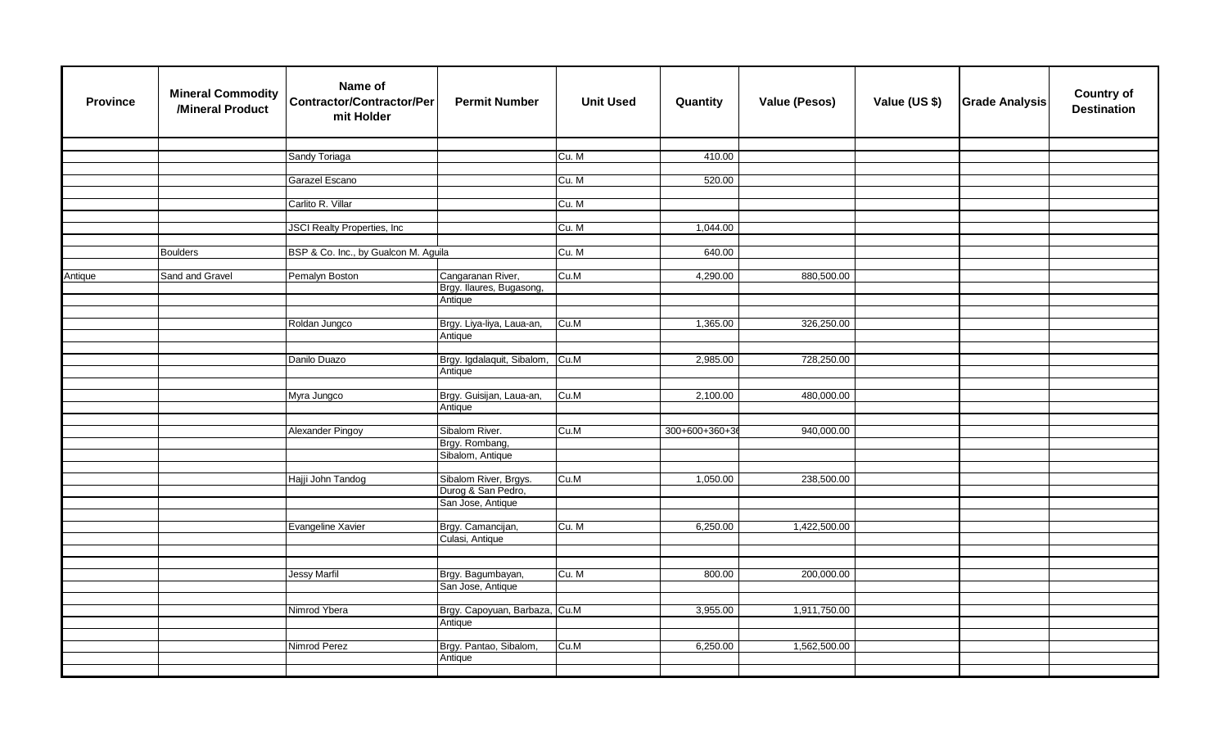| <b>Province</b> | <b>Mineral Commodity</b><br>/Mineral Product | Name of<br><b>Contractor/Contractor/Per</b><br>mit Holder | <b>Permit Number</b>                    | <b>Unit Used</b> | Quantity      | <b>Value (Pesos)</b> | Value (US \$) | <b>Grade Analysis</b> | <b>Country of</b><br><b>Destination</b> |
|-----------------|----------------------------------------------|-----------------------------------------------------------|-----------------------------------------|------------------|---------------|----------------------|---------------|-----------------------|-----------------------------------------|
|                 |                                              |                                                           |                                         |                  |               |                      |               |                       |                                         |
|                 |                                              | Sandy Toriaga                                             |                                         | Cu. M            | 410.00        |                      |               |                       |                                         |
|                 |                                              | Garazel Escano                                            |                                         | Cu. M            | 520.00        |                      |               |                       |                                         |
|                 |                                              |                                                           |                                         |                  |               |                      |               |                       |                                         |
|                 |                                              | Carlito R. Villar                                         |                                         | Cu. M            |               |                      |               |                       |                                         |
|                 |                                              |                                                           |                                         |                  |               |                      |               |                       |                                         |
|                 |                                              | <b>JSCI</b> Realty Properties, Inc                        |                                         | Cu. M            | 1,044.00      |                      |               |                       |                                         |
|                 |                                              |                                                           |                                         |                  |               |                      |               |                       |                                         |
|                 | <b>Boulders</b>                              | BSP & Co. Inc., by Gualcon M. Aguila                      |                                         | Cu. M            | 640.00        |                      |               |                       |                                         |
| Antique         | Sand and Gravel                              | Pemalyn Boston                                            | Cangaranan River,                       | Cu.M             | 4,290.00      | 880,500.00           |               |                       |                                         |
|                 |                                              |                                                           | Brgy. Ilaures, Bugasong,                |                  |               |                      |               |                       |                                         |
|                 |                                              |                                                           | Antique                                 |                  |               |                      |               |                       |                                         |
|                 |                                              |                                                           |                                         |                  |               |                      |               |                       |                                         |
|                 |                                              | Roldan Jungco                                             | Brgy. Liya-liya, Laua-an,               | Cu.M             | 1,365.00      | 326,250.00           |               |                       |                                         |
|                 |                                              |                                                           | Antique                                 |                  |               |                      |               |                       |                                         |
|                 |                                              |                                                           |                                         |                  |               |                      |               |                       |                                         |
|                 |                                              | Danilo Duazo                                              | Brgy. Igdalaquit, Sibalom,              | Cu.M             | 2,985.00      | 728,250.00           |               |                       |                                         |
|                 |                                              |                                                           | Antique                                 |                  |               |                      |               |                       |                                         |
|                 |                                              | Myra Jungco                                               | Brgy. Guisijan, Laua-an,                | Cu.M             | 2,100.00      | 480,000.00           |               |                       |                                         |
|                 |                                              |                                                           | Antique                                 |                  |               |                      |               |                       |                                         |
|                 |                                              |                                                           |                                         |                  |               |                      |               |                       |                                         |
|                 |                                              | Alexander Pingoy                                          | Sibalom River.                          | Cu.M             | 300+600+360+3 | 940,000.00           |               |                       |                                         |
|                 |                                              |                                                           | Brgy. Rombang,                          |                  |               |                      |               |                       |                                         |
|                 |                                              |                                                           | Sibalom, Antique                        |                  |               |                      |               |                       |                                         |
|                 |                                              |                                                           |                                         |                  |               |                      |               |                       |                                         |
|                 |                                              | Hajji John Tandog                                         | Sibalom River, Brgys.                   | Cu.M             | 1,050.00      | 238,500.00           |               |                       |                                         |
|                 |                                              |                                                           | Durog & San Pedro,<br>San Jose, Antique |                  |               |                      |               |                       |                                         |
|                 |                                              |                                                           |                                         |                  |               |                      |               |                       |                                         |
|                 |                                              | Evangeline Xavier                                         | Brgy. Camancijan,                       | Cu. M            | 6,250.00      | 1,422,500.00         |               |                       |                                         |
|                 |                                              |                                                           | Culasi, Antique                         |                  |               |                      |               |                       |                                         |
|                 |                                              |                                                           |                                         |                  |               |                      |               |                       |                                         |
|                 |                                              |                                                           |                                         |                  |               |                      |               |                       |                                         |
|                 |                                              | <b>Jessy Marfil</b>                                       | Brgy. Bagumbayan,                       | Cu. M            | 800.00        | 200,000.00           |               |                       |                                         |
|                 |                                              |                                                           | San Jose, Antique                       |                  |               |                      |               |                       |                                         |
|                 |                                              | Nimrod Ybera                                              | Brgy. Capoyuan, Barbaza, Cu.M           |                  | 3,955.00      | 1,911,750.00         |               |                       |                                         |
|                 |                                              |                                                           | Antique                                 |                  |               |                      |               |                       |                                         |
|                 |                                              |                                                           |                                         |                  |               |                      |               |                       |                                         |
|                 |                                              | Nimrod Perez                                              | Brgy. Pantao, Sibalom,                  | Cu.M             | 6,250.00      | 1,562,500.00         |               |                       |                                         |
|                 |                                              |                                                           | Antique                                 |                  |               |                      |               |                       |                                         |
|                 |                                              |                                                           |                                         |                  |               |                      |               |                       |                                         |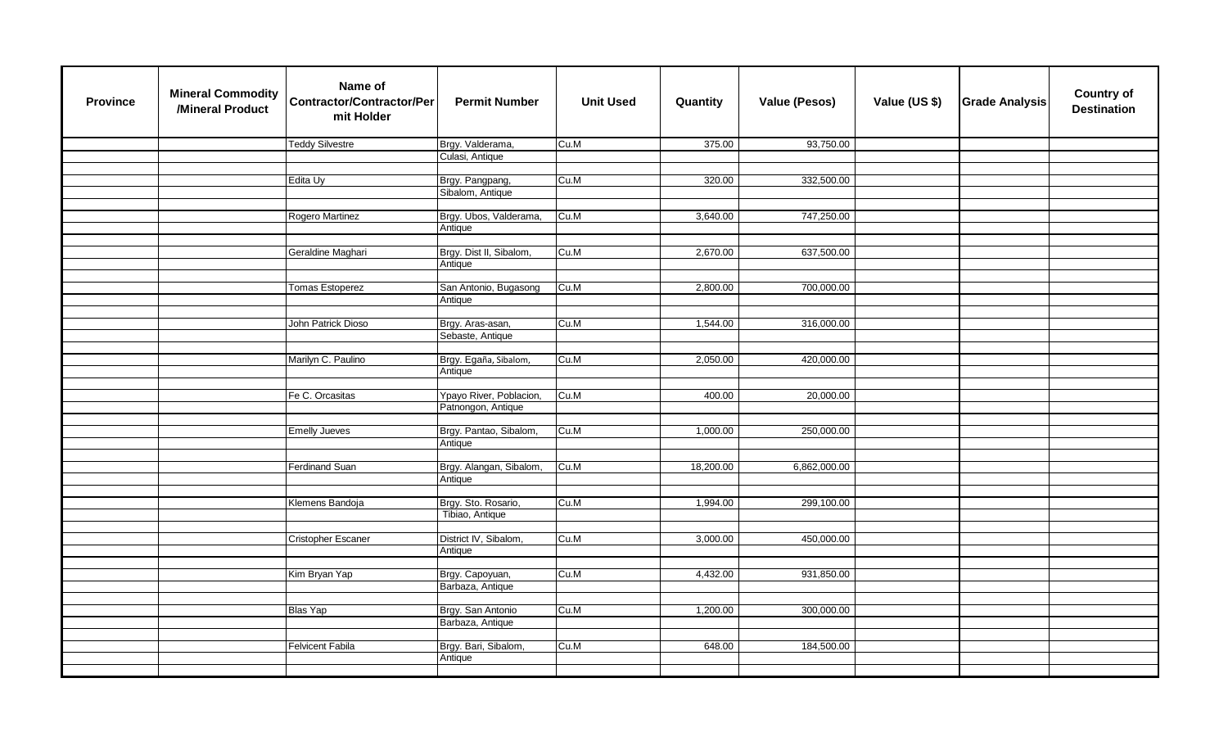| <b>Province</b> | <b>Mineral Commodity</b><br>/Mineral Product | Name of<br><b>Contractor/Contractor/Per</b><br>mit Holder | <b>Permit Number</b>                   | <b>Unit Used</b> | Quantity  | <b>Value (Pesos)</b> | Value (US \$) | <b>Grade Analysis</b> | <b>Country of</b><br><b>Destination</b> |
|-----------------|----------------------------------------------|-----------------------------------------------------------|----------------------------------------|------------------|-----------|----------------------|---------------|-----------------------|-----------------------------------------|
|                 |                                              | <b>Teddy Silvestre</b>                                    | Brgy. Valderama,                       | Cu.M             | 375.00    | 93,750.00            |               |                       |                                         |
|                 |                                              |                                                           | Culasi, Antique                        |                  |           |                      |               |                       |                                         |
|                 |                                              |                                                           |                                        |                  |           |                      |               |                       |                                         |
|                 |                                              | Edita Uy                                                  | Brgy. Pangpang,                        | Cu.M             | 320.00    | 332,500.00           |               |                       |                                         |
|                 |                                              |                                                           | Sibalom, Antique                       |                  |           |                      |               |                       |                                         |
|                 |                                              |                                                           |                                        |                  |           |                      |               |                       |                                         |
|                 |                                              | Rogero Martinez                                           | Brgy. Ubos, Valderama,                 | Cu.M             | 3,640.00  | 747,250.00           |               |                       |                                         |
|                 |                                              |                                                           | Antique                                |                  |           |                      |               |                       |                                         |
|                 |                                              | Geraldine Maghari                                         | Brgy. Dist II, Sibalom,                | Cu.M             | 2,670.00  | 637,500.00           |               |                       |                                         |
|                 |                                              |                                                           | Antique                                |                  |           |                      |               |                       |                                         |
|                 |                                              |                                                           |                                        |                  |           |                      |               |                       |                                         |
|                 |                                              | <b>Tomas Estoperez</b>                                    | San Antonio, Bugasong                  | Cu.M             | 2,800.00  | 700,000.00           |               |                       |                                         |
|                 |                                              |                                                           | Antique                                |                  |           |                      |               |                       |                                         |
|                 |                                              |                                                           |                                        |                  |           |                      |               |                       |                                         |
|                 |                                              | John Patrick Dioso                                        | Brgy. Aras-asan,                       | Cu.M             | 1,544.00  | 316,000.00           |               |                       |                                         |
|                 |                                              |                                                           | Sebaste, Antique                       |                  |           |                      |               |                       |                                         |
|                 |                                              |                                                           |                                        |                  |           |                      |               |                       |                                         |
|                 |                                              | Marilyn C. Paulino                                        | Brgy. Egaña, Sibalom,                  | Cu.M             | 2,050.00  | 420,000.00           |               |                       |                                         |
|                 |                                              |                                                           | Antique                                |                  |           |                      |               |                       |                                         |
|                 |                                              |                                                           |                                        |                  |           |                      |               |                       |                                         |
|                 |                                              | Fe C. Orcasitas                                           | Ypayo River, Poblacion,                | Cu.M             | 400.00    | 20,000.00            |               |                       |                                         |
|                 |                                              |                                                           | Patnongon, Antique                     |                  |           |                      |               |                       |                                         |
|                 |                                              |                                                           |                                        |                  |           |                      |               |                       |                                         |
|                 |                                              | <b>Emelly Jueves</b>                                      | Brgy. Pantao, Sibalom,                 | Cu.M             | 1,000.00  | 250,000.00           |               |                       |                                         |
|                 |                                              |                                                           | Antique                                |                  |           |                      |               |                       |                                         |
|                 |                                              |                                                           |                                        |                  |           |                      |               |                       |                                         |
|                 |                                              | <b>Ferdinand Suan</b>                                     | Brgy. Alangan, Sibalom,                | Cu.M             | 18,200.00 | 6,862,000.00         |               |                       |                                         |
|                 |                                              |                                                           | Antique                                |                  |           |                      |               |                       |                                         |
|                 |                                              |                                                           |                                        | Cu.M             |           |                      |               |                       |                                         |
|                 |                                              | Klemens Bandoja                                           | Brgy. Sto. Rosario,<br>Tibiao, Antique |                  | 1,994.00  | 299,100.00           |               |                       |                                         |
|                 |                                              |                                                           |                                        |                  |           |                      |               |                       |                                         |
|                 |                                              | Cristopher Escaner                                        | District IV, Sibalom,                  | Cu.M             | 3,000.00  | 450,000.00           |               |                       |                                         |
|                 |                                              |                                                           | Antique                                |                  |           |                      |               |                       |                                         |
|                 |                                              |                                                           |                                        |                  |           |                      |               |                       |                                         |
|                 |                                              | Kim Bryan Yap                                             | Brgy. Capoyuan,                        | Cu.M             | 4,432.00  | 931,850.00           |               |                       |                                         |
|                 |                                              |                                                           | Barbaza, Antique                       |                  |           |                      |               |                       |                                         |
|                 |                                              |                                                           |                                        |                  |           |                      |               |                       |                                         |
|                 |                                              | <b>Blas Yap</b>                                           | Brgy. San Antonio                      | Cu.M             | 1,200.00  | 300,000.00           |               |                       |                                         |
|                 |                                              |                                                           | Barbaza, Antique                       |                  |           |                      |               |                       |                                         |
|                 |                                              |                                                           |                                        |                  |           |                      |               |                       |                                         |
|                 |                                              | <b>Felvicent Fabila</b>                                   | Brgy. Bari, Sibalom,                   | Cu.M             | 648.00    | 184,500.00           |               |                       |                                         |
|                 |                                              |                                                           | Antique                                |                  |           |                      |               |                       |                                         |
|                 |                                              |                                                           |                                        |                  |           |                      |               |                       |                                         |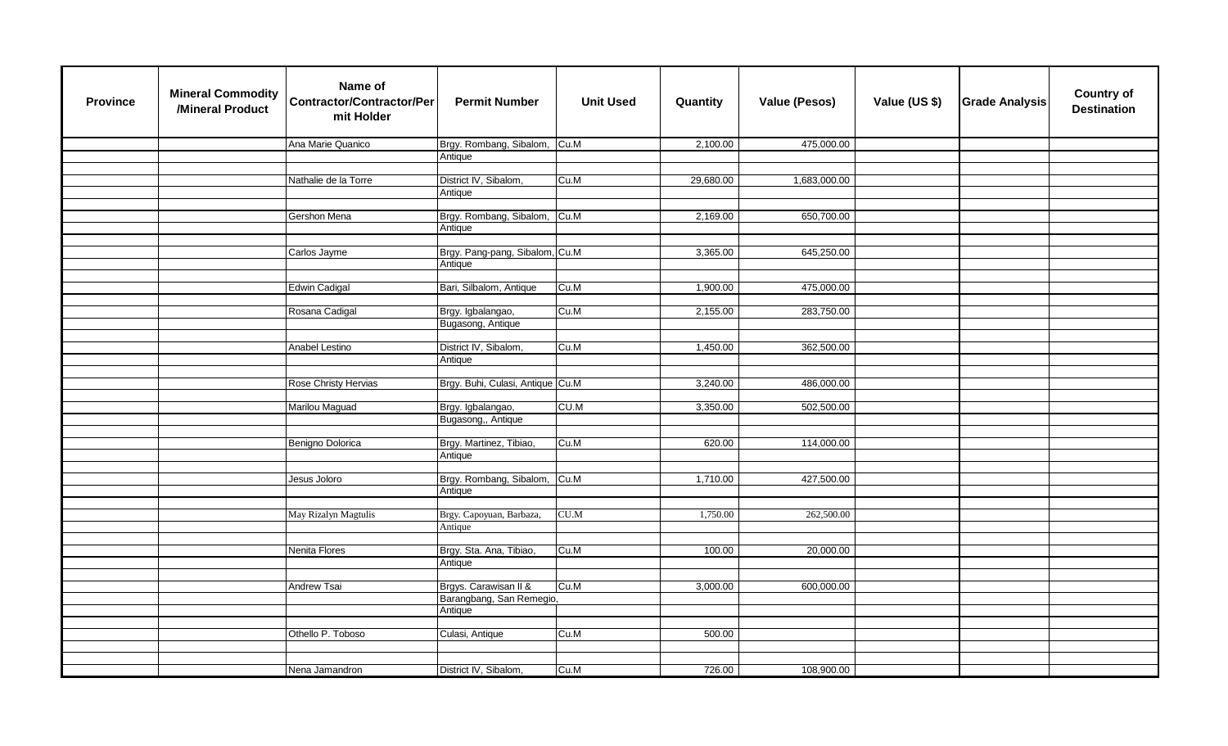| <b>Province</b> | <b>Mineral Commodity</b><br>/Mineral Product | Name of<br><b>Contractor/Contractor/Per</b><br>mit Holder | <b>Permit Number</b>             | <b>Unit Used</b> | Quantity  | <b>Value (Pesos)</b> | Value (US \$) | <b>Grade Analysis</b> | <b>Country of</b><br><b>Destination</b> |
|-----------------|----------------------------------------------|-----------------------------------------------------------|----------------------------------|------------------|-----------|----------------------|---------------|-----------------------|-----------------------------------------|
|                 |                                              | Ana Marie Quanico                                         | Brgy. Rombang, Sibalom, Cu.M.    |                  | 2,100.00  | 475,000.00           |               |                       |                                         |
|                 |                                              |                                                           | Antique                          |                  |           |                      |               |                       |                                         |
|                 |                                              |                                                           |                                  |                  |           |                      |               |                       |                                         |
|                 |                                              | Nathalie de la Torre                                      | District IV, Sibalom,            | Cu.M             | 29,680.00 | 1,683,000.00         |               |                       |                                         |
|                 |                                              |                                                           | Antique                          |                  |           |                      |               |                       |                                         |
|                 |                                              | Gershon Mena                                              | Brgy. Rombang, Sibalom,          | Cu.M             | 2,169.00  | 650,700.00           |               |                       |                                         |
|                 |                                              |                                                           | Antique                          |                  |           |                      |               |                       |                                         |
|                 |                                              |                                                           |                                  |                  |           |                      |               |                       |                                         |
|                 |                                              | Carlos Jayme                                              | Brgy. Pang-pang, Sibalom, Cu.M   |                  | 3,365.00  | 645,250.00           |               |                       |                                         |
|                 |                                              |                                                           | Antique                          |                  |           |                      |               |                       |                                         |
|                 |                                              |                                                           |                                  |                  |           |                      |               |                       |                                         |
|                 |                                              | <b>Edwin Cadigal</b>                                      | Bari, Silbalom, Antique          | Cu.M             | 1,900.00  | 475,000.00           |               |                       |                                         |
|                 |                                              | Rosana Cadigal                                            | Brgy. Igbalangao,                | Cu.M             | 2,155.00  | 283,750.00           |               |                       |                                         |
|                 |                                              |                                                           | Bugasong, Antique                |                  |           |                      |               |                       |                                         |
|                 |                                              |                                                           |                                  |                  |           |                      |               |                       |                                         |
|                 |                                              | Anabel Lestino                                            | District IV, Sibalom,            | Cu.M             | 1,450.00  | 362,500.00           |               |                       |                                         |
|                 |                                              |                                                           | Antique                          |                  |           |                      |               |                       |                                         |
|                 |                                              |                                                           |                                  |                  |           |                      |               |                       |                                         |
|                 |                                              | Rose Christy Hervias                                      | Brgy. Buhi, Culasi, Antique Cu.M |                  | 3,240.00  | 486,000.00           |               |                       |                                         |
|                 |                                              |                                                           |                                  |                  |           |                      |               |                       |                                         |
|                 |                                              | Marilou Maguad                                            | Brgy. Igbalangao,                | CU.M             | 3,350.00  | 502,500.00           |               |                       |                                         |
|                 |                                              |                                                           | Bugasong,, Antique               |                  |           |                      |               |                       |                                         |
|                 |                                              | Benigno Dolorica                                          | Brgy. Martinez, Tibiao,          | Cu.M             | 620.00    | 114,000.00           |               |                       |                                         |
|                 |                                              |                                                           | Antique                          |                  |           |                      |               |                       |                                         |
|                 |                                              |                                                           |                                  |                  |           |                      |               |                       |                                         |
|                 |                                              | Jesus Joloro                                              | Brgy. Rombang, Sibalom,          | Cu.M             | 1,710.00  | 427,500.00           |               |                       |                                         |
|                 |                                              |                                                           | Antique                          |                  |           |                      |               |                       |                                         |
|                 |                                              |                                                           |                                  |                  |           |                      |               |                       |                                         |
|                 |                                              | May Rizalyn Magtulis                                      | Brgy. Capoyuan, Barbaza,         | CU.M             | 1,750.00  | 262,500.00           |               |                       |                                         |
|                 |                                              |                                                           | Antique                          |                  |           |                      |               |                       |                                         |
|                 |                                              | Nenita Flores                                             | Brgy. Sta. Ana, Tibiao,          | Cu.M             | 100.00    | 20,000.00            |               |                       |                                         |
|                 |                                              |                                                           | Antique                          |                  |           |                      |               |                       |                                         |
|                 |                                              |                                                           |                                  |                  |           |                      |               |                       |                                         |
|                 |                                              | Andrew Tsai                                               | Brgys. Carawisan II &            | Cu.M             | 3,000.00  | 600,000.00           |               |                       |                                         |
|                 |                                              |                                                           | Barangbang, San Remegio,         |                  |           |                      |               |                       |                                         |
|                 |                                              |                                                           | Antique                          |                  |           |                      |               |                       |                                         |
|                 |                                              |                                                           |                                  |                  |           |                      |               |                       |                                         |
|                 |                                              | Othello P. Toboso                                         | Culasi, Antique                  | Cu.M             | 500.00    |                      |               |                       |                                         |
|                 |                                              |                                                           |                                  |                  |           |                      |               |                       |                                         |
|                 |                                              | Nena Jamandron                                            | District IV, Sibalom,            | Cu.M             | 726.00    | 108,900.00           |               |                       |                                         |
|                 |                                              |                                                           |                                  |                  |           |                      |               |                       |                                         |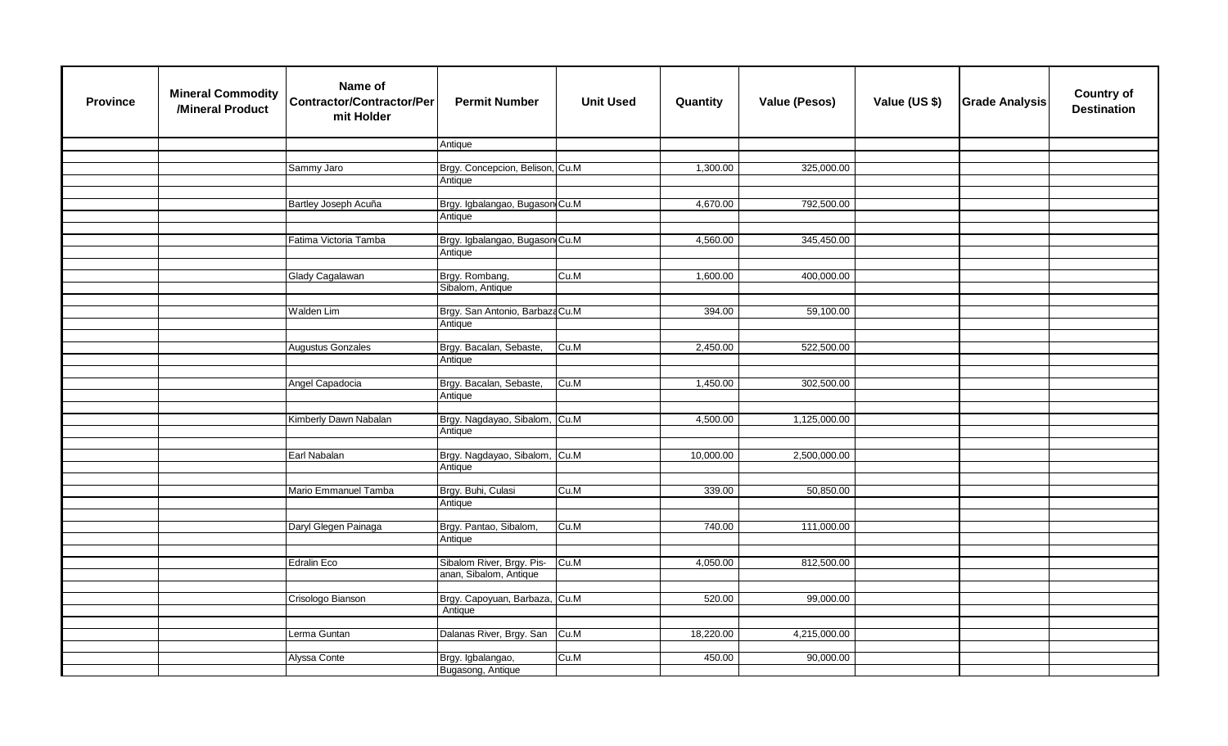| <b>Province</b> | <b>Mineral Commodity</b><br>/Mineral Product | Name of<br><b>Contractor/Contractor/Per</b><br>mit Holder | <b>Permit Number</b>            | <b>Unit Used</b> | Quantity  | <b>Value (Pesos)</b> | Value (US \$) | <b>Grade Analysis</b> | <b>Country of</b><br><b>Destination</b> |
|-----------------|----------------------------------------------|-----------------------------------------------------------|---------------------------------|------------------|-----------|----------------------|---------------|-----------------------|-----------------------------------------|
|                 |                                              |                                                           | Antique                         |                  |           |                      |               |                       |                                         |
|                 |                                              |                                                           |                                 |                  |           |                      |               |                       |                                         |
|                 |                                              | Sammy Jaro                                                | Brgy. Concepcion, Belison, Cu.M |                  | 1,300.00  | 325,000.00           |               |                       |                                         |
|                 |                                              |                                                           | Antique                         |                  |           |                      |               |                       |                                         |
|                 |                                              |                                                           |                                 |                  |           |                      |               |                       |                                         |
|                 |                                              | Bartley Joseph Acuña                                      | Brgy. Igbalangao, Bugason Cu.M  |                  | 4,670.00  | 792,500.00           |               |                       |                                         |
|                 |                                              |                                                           | Antique                         |                  |           |                      |               |                       |                                         |
|                 |                                              |                                                           |                                 |                  |           |                      |               |                       |                                         |
|                 |                                              | Fatima Victoria Tamba                                     | Brgy. Igbalangao, Bugason Cu.M  |                  | 4,560.00  | 345,450.00           |               |                       |                                         |
|                 |                                              |                                                           | Antique                         |                  |           |                      |               |                       |                                         |
|                 |                                              |                                                           |                                 |                  |           |                      |               |                       |                                         |
|                 |                                              | Glady Cagalawan                                           | Brgy. Rombang,                  | Cu.M             | 1,600.00  | 400,000.00           |               |                       |                                         |
|                 |                                              |                                                           | Sibalom, Antique                |                  |           |                      |               |                       |                                         |
|                 |                                              |                                                           |                                 |                  |           |                      |               |                       |                                         |
|                 |                                              | Walden Lim                                                | Brgy. San Antonio, Barbaza Cu.M |                  | 394.00    | 59,100.00            |               |                       |                                         |
|                 |                                              |                                                           | Antique                         |                  |           |                      |               |                       |                                         |
|                 |                                              | <b>Augustus Gonzales</b>                                  | Brgy. Bacalan, Sebaste,         | Cu.M             | 2,450.00  | 522,500.00           |               |                       |                                         |
|                 |                                              |                                                           | Antique                         |                  |           |                      |               |                       |                                         |
|                 |                                              |                                                           |                                 |                  |           |                      |               |                       |                                         |
|                 |                                              | Angel Capadocia                                           | Brgy. Bacalan, Sebaste,         | Cu.M             | 1,450.00  | 302,500.00           |               |                       |                                         |
|                 |                                              |                                                           | Antique                         |                  |           |                      |               |                       |                                         |
|                 |                                              |                                                           |                                 |                  |           |                      |               |                       |                                         |
|                 |                                              | Kimberly Dawn Nabalan                                     | Brgy. Nagdayao, Sibalom,        | Cu.M             | 4,500.00  | 1,125,000.00         |               |                       |                                         |
|                 |                                              |                                                           | Antique                         |                  |           |                      |               |                       |                                         |
|                 |                                              |                                                           |                                 |                  |           |                      |               |                       |                                         |
|                 |                                              | Earl Nabalan                                              | Brgy. Nagdayao, Sibalom,        | Cu.M             | 10,000.00 | 2,500,000.00         |               |                       |                                         |
|                 |                                              |                                                           | Antique                         |                  |           |                      |               |                       |                                         |
|                 |                                              |                                                           |                                 |                  |           |                      |               |                       |                                         |
|                 |                                              | Mario Emmanuel Tamba                                      | Brgy. Buhi, Culasi              | Cu.M             | 339.00    | 50,850.00            |               |                       |                                         |
|                 |                                              |                                                           | Antique                         |                  |           |                      |               |                       |                                         |
|                 |                                              |                                                           |                                 |                  |           |                      |               |                       |                                         |
|                 |                                              | Daryl Glegen Painaga                                      | Brgy. Pantao, Sibalom,          | Cu.M             | 740.00    | 111,000.00           |               |                       |                                         |
|                 |                                              |                                                           | Antique                         |                  |           |                      |               |                       |                                         |
|                 |                                              |                                                           |                                 |                  |           |                      |               |                       |                                         |
|                 |                                              | <b>Edralin Eco</b>                                        | Sibalom River, Brgy. Pis-       | Cu.M             | 4,050.00  | 812,500.00           |               |                       |                                         |
|                 |                                              |                                                           | anan, Sibalom, Antique          |                  |           |                      |               |                       |                                         |
|                 |                                              |                                                           |                                 |                  |           |                      |               |                       |                                         |
|                 |                                              | Crisologo Bianson                                         | Brgy. Capoyuan, Barbaza, Cu.M   |                  | 520.00    | 99,000.00            |               |                       |                                         |
|                 |                                              |                                                           | Antique                         |                  |           |                      |               |                       |                                         |
|                 |                                              |                                                           |                                 |                  |           |                      |               |                       |                                         |
|                 |                                              | Lerma Guntan                                              | Dalanas River, Brgy. San Cu.M   |                  | 18,220.00 | 4,215,000.00         |               |                       |                                         |
|                 |                                              |                                                           |                                 |                  |           |                      |               |                       |                                         |
|                 |                                              | Alyssa Conte                                              | Brgy. Igbalangao,               | Cu.M             | 450.00    | 90,000.00            |               |                       |                                         |
|                 |                                              |                                                           | Bugasong, Antique               |                  |           |                      |               |                       |                                         |